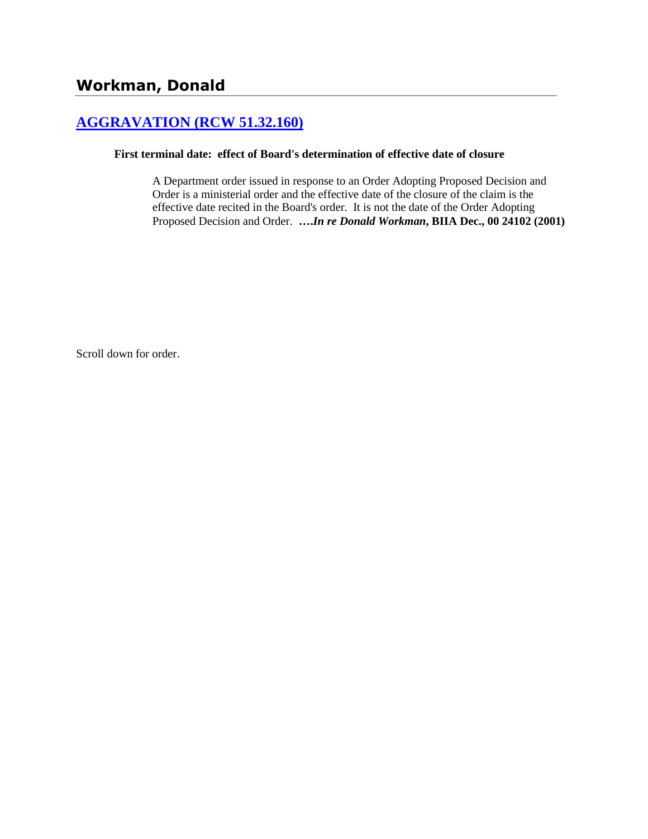# **[AGGRAVATION \(RCW 51.32.160\)](http://www.biia.wa.gov/SDSubjectIndex.html#AGGRAVATION)**

#### **First terminal date: effect of Board's determination of effective date of closure**

A Department order issued in response to an Order Adopting Proposed Decision and Order is a ministerial order and the effective date of the closure of the claim is the effective date recited in the Board's order. It is not the date of the Order Adopting Proposed Decision and Order. **….***In re Donald Workman***, BIIA Dec., 00 24102 (2001)** 

Scroll down for order.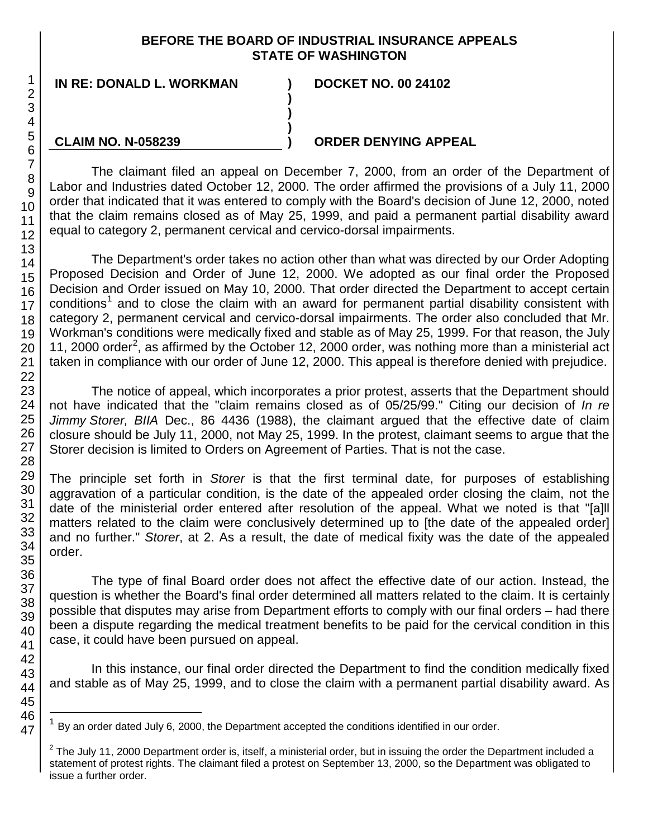#### **BEFORE THE BOARD OF INDUSTRIAL INSURANCE APPEALS STATE OF WASHINGTON**

**)**

**) )**

**IN RE: DONALD L. WORKMAN ) DOCKET NO. 00 24102**

### **CLAIM NO. N-058239**

## **) ORDER DENYING APPEAL**

The claimant filed an appeal on December 7, 2000, from an order of the Department of Labor and Industries dated October 12, 2000. The order affirmed the provisions of a July 11, 2000 order that indicated that it was entered to comply with the Board's decision of June 12, 2000, noted that the claim remains closed as of May 25, 1999, and paid a permanent partial disability award equal to category 2, permanent cervical and cervico-dorsal impairments.

The Department's order takes no action other than what was directed by our Order Adopting Proposed Decision and Order of June 12, 2000. We adopted as our final order the Proposed Decision and Order issued on May 10, 2000. That order directed the Department to accept certain conditions<sup>[1](#page-1-0)</sup> and to close the claim with an award for permanent partial disability consistent with category 2, permanent cervical and cervico-dorsal impairments. The order also concluded that Mr. Workman's conditions were medically fixed and stable as of May 25, 1999. For that reason, the July 11, [2](#page-1-1)000 order<sup>2</sup>, as affirmed by the October 12, 2000 order, was nothing more than a ministerial act taken in compliance with our order of June 12, 2000. This appeal is therefore denied with prejudice.

The notice of appeal, which incorporates a prior protest, asserts that the Department should not have indicated that the "claim remains closed as of 05/25/99." Citing our decision of *In re Jimmy Storer, BIIA* Dec., 86 4436 (1988), the claimant argued that the effective date of claim closure should be July 11, 2000, not May 25, 1999. In the protest, claimant seems to argue that the Storer decision is limited to Orders on Agreement of Parties. That is not the case.

The principle set forth in *Storer* is that the first terminal date, for purposes of establishing aggravation of a particular condition, is the date of the appealed order closing the claim, not the date of the ministerial order entered after resolution of the appeal. What we noted is that "[a]ll matters related to the claim were conclusively determined up to [the date of the appealed order] and no further." *Storer*, at 2. As a result, the date of medical fixity was the date of the appealed order.

The type of final Board order does not affect the effective date of our action. Instead, the question is whether the Board's final order determined all matters related to the claim. It is certainly possible that disputes may arise from Department efforts to comply with our final orders – had there been a dispute regarding the medical treatment benefits to be paid for the cervical condition in this case, it could have been pursued on appeal.

In this instance, our final order directed the Department to find the condition medically fixed and stable as of May 25, 1999, and to close the claim with a permanent partial disability award. As

<span id="page-1-0"></span>By an order dated July 6, 2000, the Department accepted the conditions identified in our order.

<span id="page-1-1"></span> $2$  The July 11, 2000 Department order is, itself, a ministerial order, but in issuing the order the Department included a statement of protest rights. The claimant filed a protest on September 13, 2000, so the Department was obligated to issue a further order.